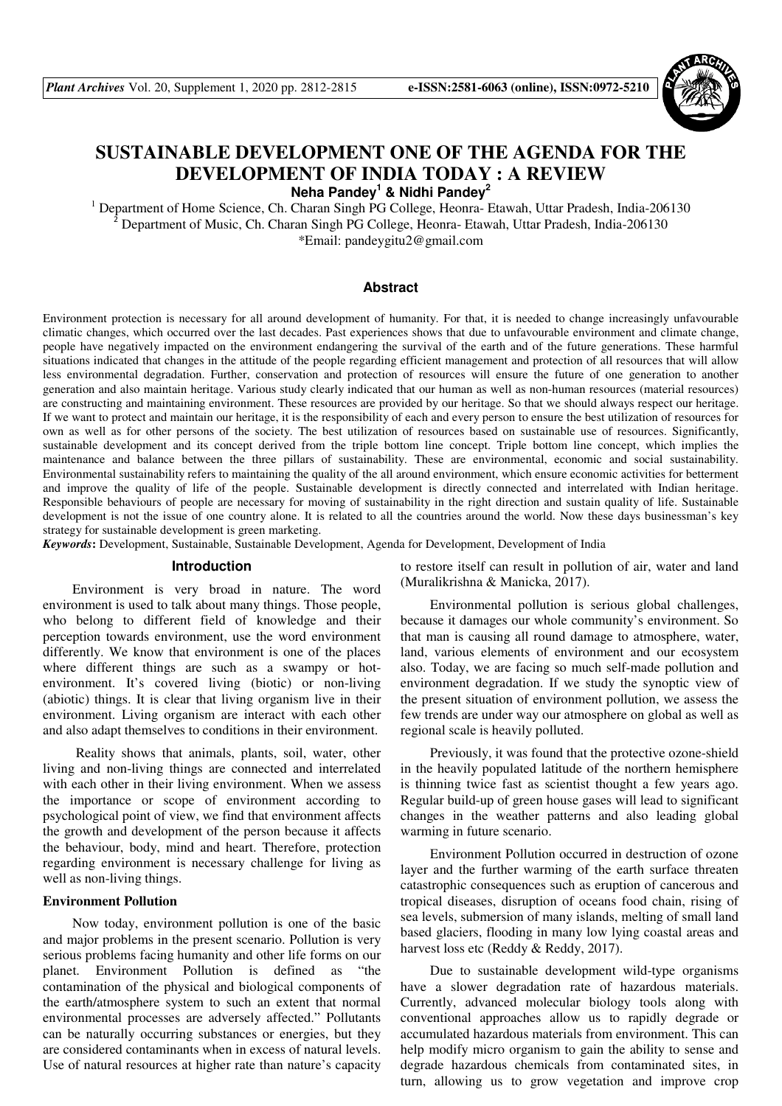

# **SUSTAINABLE DEVELOPMENT ONE OF THE AGENDA FOR THE DEVELOPMENT OF INDIA TODAY : A REVIEW Neha Pandey<sup>1</sup> & Nidhi Pandey<sup>2</sup>**

<sup>1</sup> Department of Home Science, Ch. Charan Singh PG College, Heonra- Etawah, Uttar Pradesh, India-206130 <sup>2</sup> Department of Music, Ch. Charan Singh PG College, Heonra- Etawah, Uttar Pradesh, India-206130 \*Email: pandeygitu2@gmail.com

## **Abstract**

Environment protection is necessary for all around development of humanity. For that, it is needed to change increasingly unfavourable climatic changes, which occurred over the last decades. Past experiences shows that due to unfavourable environment and climate change, people have negatively impacted on the environment endangering the survival of the earth and of the future generations. These harmful situations indicated that changes in the attitude of the people regarding efficient management and protection of all resources that will allow less environmental degradation. Further, conservation and protection of resources will ensure the future of one generation to another generation and also maintain heritage. Various study clearly indicated that our human as well as non-human resources (material resources) are constructing and maintaining environment. These resources are provided by our heritage. So that we should always respect our heritage. If we want to protect and maintain our heritage, it is the responsibility of each and every person to ensure the best utilization of resources for own as well as for other persons of the society. The best utilization of resources based on sustainable use of resources. Significantly, sustainable development and its concept derived from the triple bottom line concept. Triple bottom line concept, which implies the maintenance and balance between the three pillars of sustainability. These are environmental, economic and social sustainability. Environmental sustainability refers to maintaining the quality of the all around environment, which ensure economic activities for betterment and improve the quality of life of the people. Sustainable development is directly connected and interrelated with Indian heritage. Responsible behaviours of people are necessary for moving of sustainability in the right direction and sustain quality of life. Sustainable development is not the issue of one country alone. It is related to all the countries around the world. Now these days businessman's key strategy for sustainable development is green marketing.

*Keywords***:** Development, Sustainable, Sustainable Development, Agenda for Development, Development of India

## **Introduction**

Environment is very broad in nature. The word environment is used to talk about many things. Those people, who belong to different field of knowledge and their perception towards environment, use the word environment differently. We know that environment is one of the places where different things are such as a swampy or hotenvironment. It's covered living (biotic) or non-living (abiotic) things. It is clear that living organism live in their environment. Living organism are interact with each other and also adapt themselves to conditions in their environment.

 Reality shows that animals, plants, soil, water, other living and non-living things are connected and interrelated with each other in their living environment. When we assess the importance or scope of environment according to psychological point of view, we find that environment affects the growth and development of the person because it affects the behaviour, body, mind and heart. Therefore, protection regarding environment is necessary challenge for living as well as non-living things.

## **Environment Pollution**

Now today, environment pollution is one of the basic and major problems in the present scenario. Pollution is very serious problems facing humanity and other life forms on our planet. Environment Pollution is defined as "the contamination of the physical and biological components of the earth/atmosphere system to such an extent that normal environmental processes are adversely affected." Pollutants can be naturally occurring substances or energies, but they are considered contaminants when in excess of natural levels. Use of natural resources at higher rate than nature's capacity

to restore itself can result in pollution of air, water and land (Muralikrishna & Manicka, 2017).

Environmental pollution is serious global challenges, because it damages our whole community's environment. So that man is causing all round damage to atmosphere, water, land, various elements of environment and our ecosystem also. Today, we are facing so much self-made pollution and environment degradation. If we study the synoptic view of the present situation of environment pollution, we assess the few trends are under way our atmosphere on global as well as regional scale is heavily polluted.

Previously, it was found that the protective ozone-shield in the heavily populated latitude of the northern hemisphere is thinning twice fast as scientist thought a few years ago. Regular build-up of green house gases will lead to significant changes in the weather patterns and also leading global warming in future scenario.

Environment Pollution occurred in destruction of ozone layer and the further warming of the earth surface threaten catastrophic consequences such as eruption of cancerous and tropical diseases, disruption of oceans food chain, rising of sea levels, submersion of many islands, melting of small land based glaciers, flooding in many low lying coastal areas and harvest loss etc (Reddy & Reddy, 2017).

Due to sustainable development wild-type organisms have a slower degradation rate of hazardous materials. Currently, advanced molecular biology tools along with conventional approaches allow us to rapidly degrade or accumulated hazardous materials from environment. This can help modify micro organism to gain the ability to sense and degrade hazardous chemicals from contaminated sites, in turn, allowing us to grow vegetation and improve crop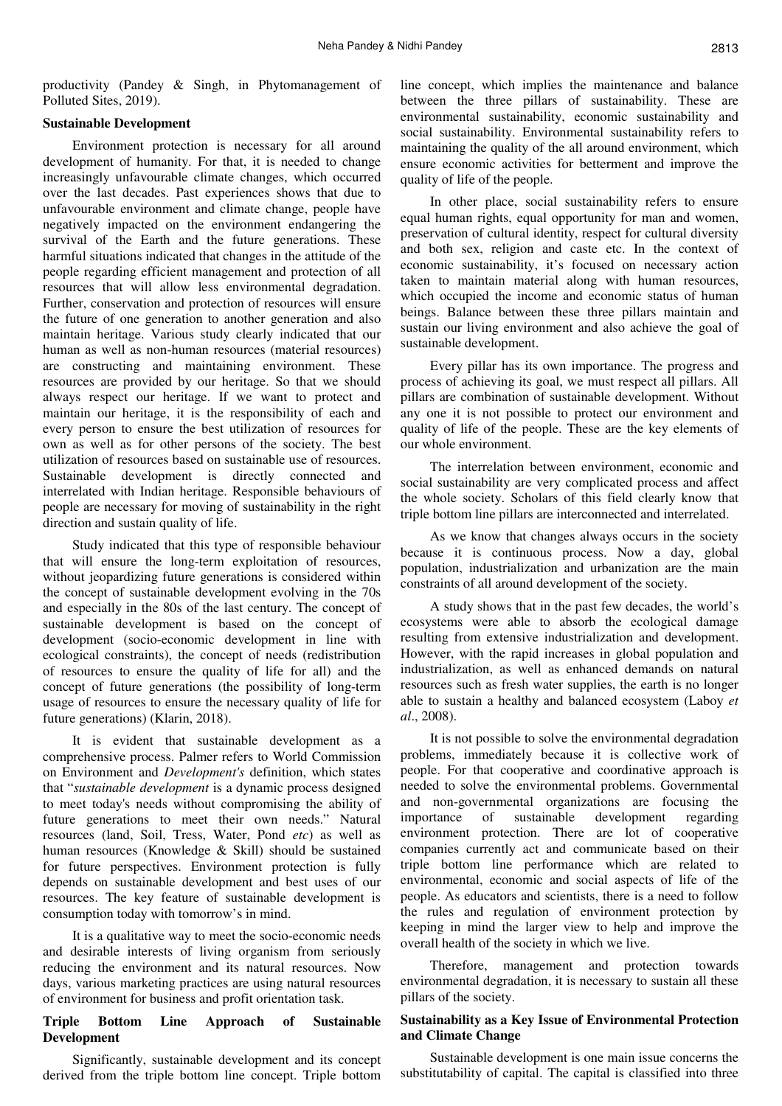productivity (Pandey & Singh, in Phytomanagement of Polluted Sites, 2019).

## **Sustainable Development**

Environment protection is necessary for all around development of humanity. For that, it is needed to change increasingly unfavourable climate changes, which occurred over the last decades. Past experiences shows that due to unfavourable environment and climate change, people have negatively impacted on the environment endangering the survival of the Earth and the future generations. These harmful situations indicated that changes in the attitude of the people regarding efficient management and protection of all resources that will allow less environmental degradation. Further, conservation and protection of resources will ensure the future of one generation to another generation and also maintain heritage. Various study clearly indicated that our human as well as non-human resources (material resources) are constructing and maintaining environment. These resources are provided by our heritage. So that we should always respect our heritage. If we want to protect and maintain our heritage, it is the responsibility of each and every person to ensure the best utilization of resources for own as well as for other persons of the society. The best utilization of resources based on sustainable use of resources. Sustainable development is directly connected and interrelated with Indian heritage. Responsible behaviours of people are necessary for moving of sustainability in the right direction and sustain quality of life.

Study indicated that this type of responsible behaviour that will ensure the long-term exploitation of resources, without jeopardizing future generations is considered within the concept of sustainable development evolving in the 70s and especially in the 80s of the last century. The concept of sustainable development is based on the concept of development (socio-economic development in line with ecological constraints), the concept of needs (redistribution of resources to ensure the quality of life for all) and the concept of future generations (the possibility of long-term usage of resources to ensure the necessary quality of life for future generations) (Klarin, 2018).

It is evident that sustainable development as a comprehensive process. Palmer refers to World Commission on Environment and *Development's* definition, which states that "*sustainable development* is a dynamic process designed to meet today's needs without compromising the ability of future generations to meet their own needs." Natural resources (land, Soil, Tress, Water, Pond *etc*) as well as human resources (Knowledge & Skill) should be sustained for future perspectives. Environment protection is fully depends on sustainable development and best uses of our resources. The key feature of sustainable development is consumption today with tomorrow's in mind.

It is a qualitative way to meet the socio-economic needs and desirable interests of living organism from seriously reducing the environment and its natural resources. Now days, various marketing practices are using natural resources of environment for business and profit orientation task.

## **Triple Bottom Line Approach of Sustainable Development**

Significantly, sustainable development and its concept derived from the triple bottom line concept. Triple bottom line concept, which implies the maintenance and balance between the three pillars of sustainability. These are environmental sustainability, economic sustainability and social sustainability. Environmental sustainability refers to maintaining the quality of the all around environment, which ensure economic activities for betterment and improve the quality of life of the people.

In other place, social sustainability refers to ensure equal human rights, equal opportunity for man and women, preservation of cultural identity, respect for cultural diversity and both sex, religion and caste etc. In the context of economic sustainability, it's focused on necessary action taken to maintain material along with human resources, which occupied the income and economic status of human beings. Balance between these three pillars maintain and sustain our living environment and also achieve the goal of sustainable development.

Every pillar has its own importance. The progress and process of achieving its goal, we must respect all pillars. All pillars are combination of sustainable development. Without any one it is not possible to protect our environment and quality of life of the people. These are the key elements of our whole environment.

The interrelation between environment, economic and social sustainability are very complicated process and affect the whole society. Scholars of this field clearly know that triple bottom line pillars are interconnected and interrelated.

As we know that changes always occurs in the society because it is continuous process. Now a day, global population, industrialization and urbanization are the main constraints of all around development of the society.

A study shows that in the past few decades, the world's ecosystems were able to absorb the ecological damage resulting from extensive industrialization and development. However, with the rapid increases in global population and industrialization, as well as enhanced demands on natural resources such as fresh water supplies, the earth is no longer able to sustain a healthy and balanced ecosystem (Laboy *et al*., 2008).

It is not possible to solve the environmental degradation problems, immediately because it is collective work of people. For that cooperative and coordinative approach is needed to solve the environmental problems. Governmental and non-governmental organizations are focusing the importance of sustainable development regarding environment protection. There are lot of cooperative companies currently act and communicate based on their triple bottom line performance which are related to environmental, economic and social aspects of life of the people. As educators and scientists, there is a need to follow the rules and regulation of environment protection by keeping in mind the larger view to help and improve the overall health of the society in which we live.

Therefore, management and protection towards environmental degradation, it is necessary to sustain all these pillars of the society.

## **Sustainability as a Key Issue of Environmental Protection and Climate Change**

Sustainable development is one main issue concerns the substitutability of capital. The capital is classified into three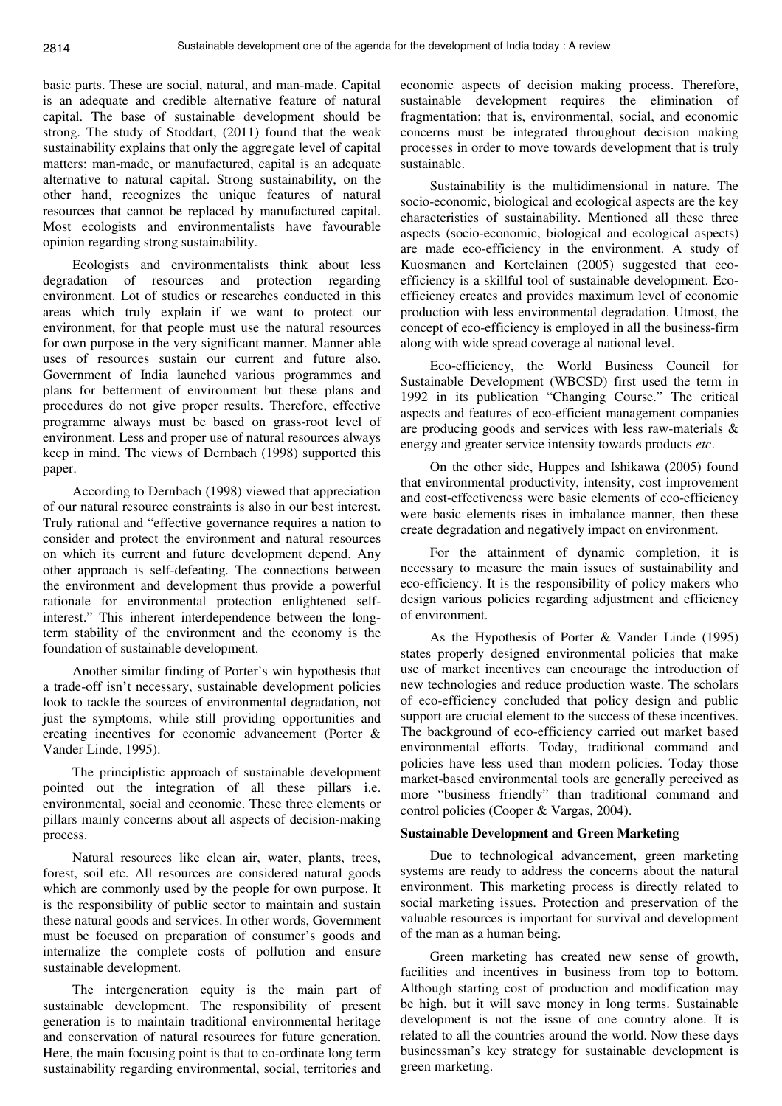basic parts. These are social, natural, and man-made. Capital is an adequate and credible alternative feature of natural capital. The base of sustainable development should be strong. The study of Stoddart, (2011) found that the weak sustainability explains that only the aggregate level of capital matters: man-made, or manufactured, capital is an adequate alternative to natural capital. Strong sustainability, on the other hand, recognizes the unique features of natural resources that cannot be replaced by manufactured capital. Most ecologists and environmentalists have favourable opinion regarding strong sustainability.

Ecologists and environmentalists think about less degradation of resources and protection regarding environment. Lot of studies or researches conducted in this areas which truly explain if we want to protect our environment, for that people must use the natural resources for own purpose in the very significant manner. Manner able uses of resources sustain our current and future also. Government of India launched various programmes and plans for betterment of environment but these plans and procedures do not give proper results. Therefore, effective programme always must be based on grass-root level of environment. Less and proper use of natural resources always keep in mind. The views of Dernbach (1998) supported this paper.

According to Dernbach (1998) viewed that appreciation of our natural resource constraints is also in our best interest. Truly rational and "effective governance requires a nation to consider and protect the environment and natural resources on which its current and future development depend. Any other approach is self-defeating. The connections between the environment and development thus provide a powerful rationale for environmental protection enlightened selfinterest." This inherent interdependence between the longterm stability of the environment and the economy is the foundation of sustainable development.

Another similar finding of Porter's win hypothesis that a trade-off isn't necessary, sustainable development policies look to tackle the sources of environmental degradation, not just the symptoms, while still providing opportunities and creating incentives for economic advancement (Porter & Vander Linde, 1995).

The principlistic approach of sustainable development pointed out the integration of all these pillars i.e. environmental, social and economic. These three elements or pillars mainly concerns about all aspects of decision-making process.

Natural resources like clean air, water, plants, trees, forest, soil etc. All resources are considered natural goods which are commonly used by the people for own purpose. It is the responsibility of public sector to maintain and sustain these natural goods and services. In other words, Government must be focused on preparation of consumer's goods and internalize the complete costs of pollution and ensure sustainable development.

The intergeneration equity is the main part of sustainable development. The responsibility of present generation is to maintain traditional environmental heritage and conservation of natural resources for future generation. Here, the main focusing point is that to co-ordinate long term sustainability regarding environmental, social, territories and economic aspects of decision making process. Therefore, sustainable development requires the elimination of fragmentation; that is, environmental, social, and economic concerns must be integrated throughout decision making processes in order to move towards development that is truly sustainable.

Sustainability is the multidimensional in nature. The socio-economic, biological and ecological aspects are the key characteristics of sustainability. Mentioned all these three aspects (socio-economic, biological and ecological aspects) are made eco-efficiency in the environment. A study of Kuosmanen and Kortelainen (2005) suggested that ecoefficiency is a skillful tool of sustainable development. Ecoefficiency creates and provides maximum level of economic production with less environmental degradation. Utmost, the concept of eco-efficiency is employed in all the business-firm along with wide spread coverage al national level.

Eco-efficiency, the World Business Council for Sustainable Development (WBCSD) first used the term in 1992 in its publication "Changing Course." The critical aspects and features of eco-efficient management companies are producing goods and services with less raw-materials & energy and greater service intensity towards products *etc*.

On the other side, Huppes and Ishikawa (2005) found that environmental productivity, intensity, cost improvement and cost-effectiveness were basic elements of eco-efficiency were basic elements rises in imbalance manner, then these create degradation and negatively impact on environment.

For the attainment of dynamic completion, it is necessary to measure the main issues of sustainability and eco-efficiency. It is the responsibility of policy makers who design various policies regarding adjustment and efficiency of environment.

As the Hypothesis of Porter & Vander Linde (1995) states properly designed environmental policies that make use of market incentives can encourage the introduction of new technologies and reduce production waste. The scholars of eco-efficiency concluded that policy design and public support are crucial element to the success of these incentives. The background of eco-efficiency carried out market based environmental efforts. Today, traditional command and policies have less used than modern policies. Today those market-based environmental tools are generally perceived as more "business friendly" than traditional command and control policies (Cooper & Vargas, 2004).

#### **Sustainable Development and Green Marketing**

Due to technological advancement, green marketing systems are ready to address the concerns about the natural environment. This marketing process is directly related to social marketing issues. Protection and preservation of the valuable resources is important for survival and development of the man as a human being.

Green marketing has created new sense of growth, facilities and incentives in business from top to bottom. Although starting cost of production and modification may be high, but it will save money in long terms. Sustainable development is not the issue of one country alone. It is related to all the countries around the world. Now these days businessman's key strategy for sustainable development is green marketing.